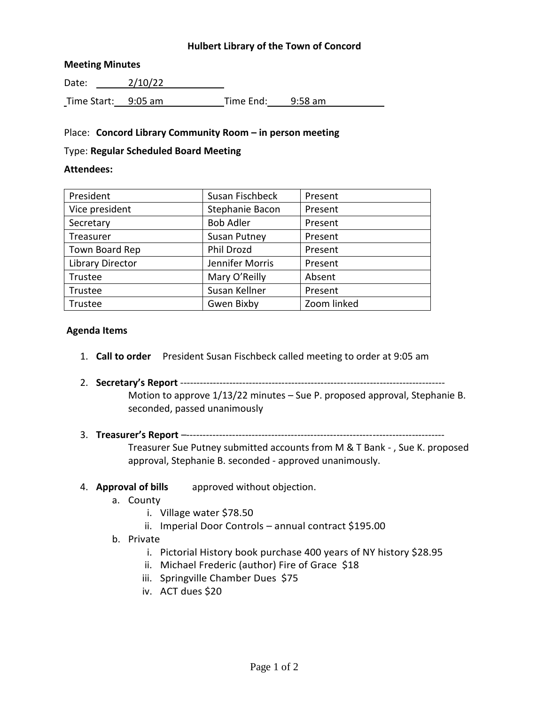## **Hulbert Library of the Town of Concord**

#### **Meeting Minutes**

Date: 2/10/22 Time Start: 9:05 am Time End: 9:58 am

### Place: **Concord Library Community Room – in person meeting**

#### Type: **Regular Scheduled Board Meeting**

#### **Attendees:**

| President               | Susan Fischbeck     | Present     |
|-------------------------|---------------------|-------------|
| Vice president          | Stephanie Bacon     | Present     |
| Secretary               | <b>Bob Adler</b>    | Present     |
| Treasurer               | <b>Susan Putney</b> | Present     |
| Town Board Rep          | Phil Drozd          | Present     |
| <b>Library Director</b> | Jennifer Morris     | Present     |
| Trustee                 | Mary O'Reilly       | Absent      |
| Trustee                 | Susan Kellner       | Present     |
| Trustee                 | Gwen Bixby          | Zoom linked |

#### **Agenda Items**

- 1. **Call to order** President Susan Fischbeck called meeting to order at 9:05 am
- 2. **Secretary's Report** --------------------------------------------------------------------------------- Motion to approve 1/13/22 minutes – Sue P. proposed approval, Stephanie B. seconded, passed unanimously
- 3. **Treasurer's Report** –-------------------------------------------------------------------------------

Treasurer Sue Putney submitted accounts from M & T Bank - , Sue K. proposed approval, Stephanie B. seconded - approved unanimously.

- 4. **Approval of bills** approved without objection.
	- a. County
		- i. Village water \$78.50
		- ii. Imperial Door Controls annual contract \$195.00
	- b. Private
		- i. Pictorial History book purchase 400 years of NY history \$28.95
		- ii. Michael Frederic (author) Fire of Grace \$18
		- iii. Springville Chamber Dues \$75
		- iv. ACT dues \$20